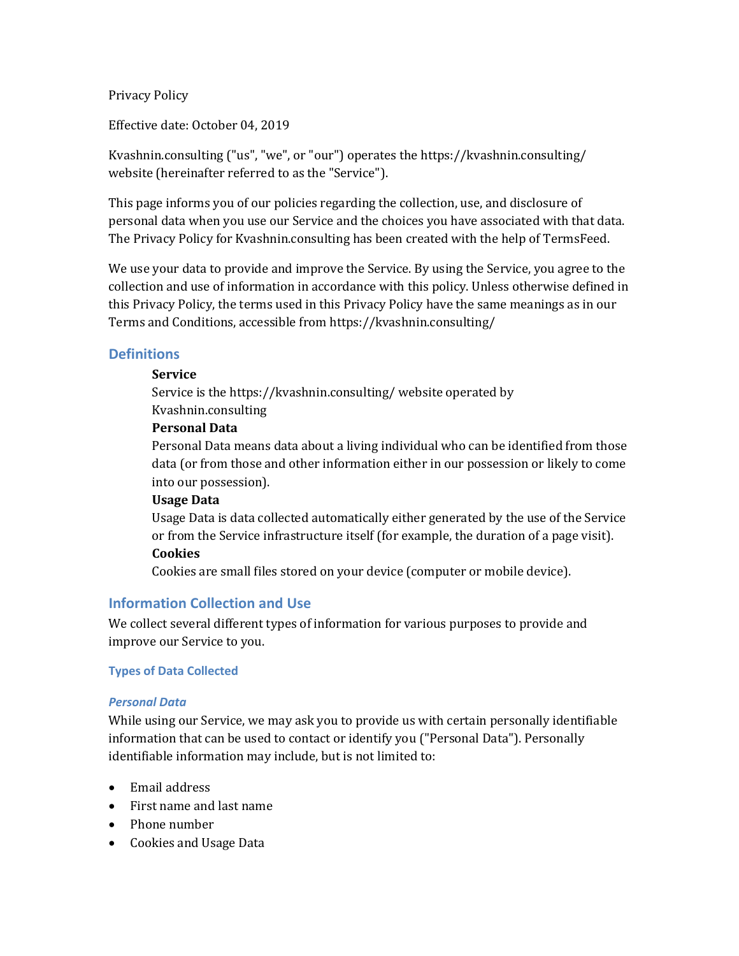Privacy Policy

Effective date: October 04, 2019

Kvashnin.consulting ("us", "we", or "our") operates the https://kvashnin.consulting/ website (hereinafter referred to as the "Service").

This page informs you of our policies regarding the collection, use, and disclosure of personal data when you use our Service and the choices you have associated with that data. The Privacy Policy for Kvashnin.consulting has been created with the help of [TermsFeed.](https://www.termsfeed.com/)

We use your data to provide and improve the Service. By using the Service, you agree to the collection and use of information in accordance with this policy. Unless otherwise defined in this Privacy Policy, the terms used in this Privacy Policy have the same meanings as in our Terms and Conditions, accessible from https://kvashnin.consulting/

### **Definitions**

#### **Service**

Service is the https://kvashnin.consulting/ website operated by Kvashnin.consulting

#### **Personal Data**

Personal Data means data about a living individual who can be identified from those data (or from those and other information either in our possession or likely to come into our possession).

#### **Usage Data**

Usage Data is data collected automatically either generated by the use of the Service or from the Service infrastructure itself (for example, the duration of a page visit). **Cookies**

Cookies are small files stored on your device (computer or mobile device).

## **Information Collection and Use**

We collect several different types of information for various purposes to provide and improve our Service to you.

### **Types of Data Collected**

#### *Personal Data*

While using our Service, we may ask you to provide us with certain personally identifiable information that can be used to contact or identify you ("Personal Data"). Personally identifiable information may include, but is not limited to:

- Email address
- First name and last name
- Phone number
- Cookies and Usage Data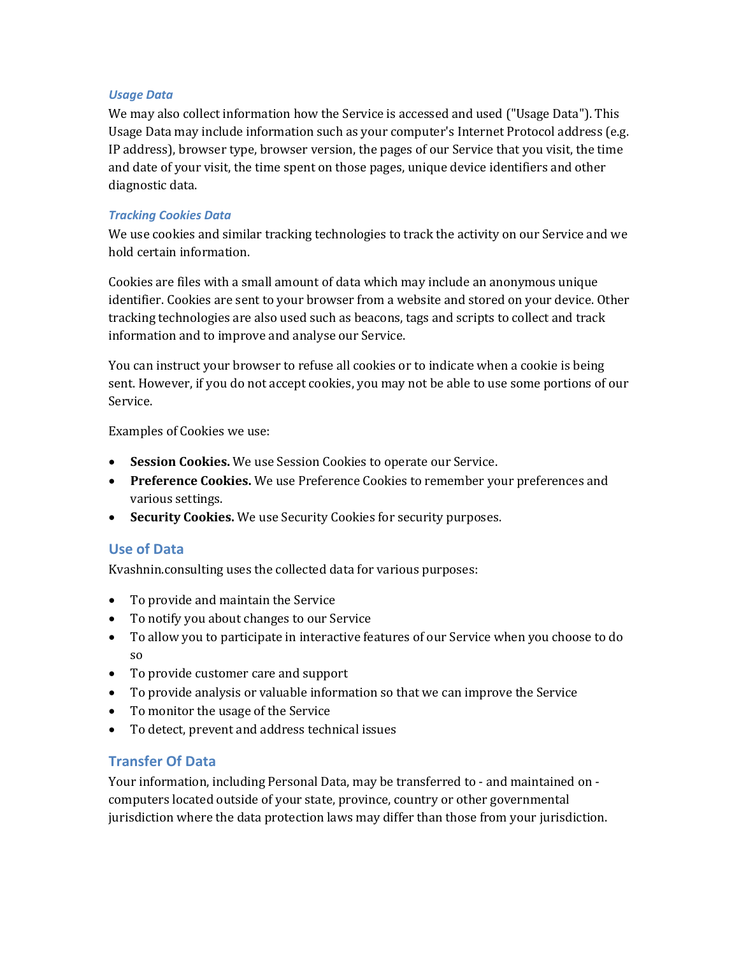#### *Usage Data*

We may also collect information how the Service is accessed and used ("Usage Data"). This Usage Data may include information such as your computer's Internet Protocol address (e.g. IP address), browser type, browser version, the pages of our Service that you visit, the time and date of your visit, the time spent on those pages, unique device identifiers and other diagnostic data.

### *Tracking Cookies Data*

We use cookies and similar tracking technologies to track the activity on our Service and we hold certain information.

Cookies are files with a small amount of data which may include an anonymous unique identifier. Cookies are sent to your browser from a website and stored on your device. Other tracking technologies are also used such as beacons, tags and scripts to collect and track information and to improve and analyse our Service.

You can instruct your browser to refuse all cookies or to indicate when a cookie is being sent. However, if you do not accept cookies, you may not be able to use some portions of our Service.

Examples of Cookies we use:

- **Session Cookies.** We use Session Cookies to operate our Service.
- **Preference Cookies.** We use Preference Cookies to remember your preferences and various settings.
- **Security Cookies.** We use Security Cookies for security purposes.

### **Use of Data**

Kvashnin.consulting uses the collected data for various purposes:

- To provide and maintain the Service
- To notify you about changes to our Service
- To allow you to participate in interactive features of our Service when you choose to do so
- To provide customer care and support
- To provide analysis or valuable information so that we can improve the Service
- To monitor the usage of the Service
- To detect, prevent and address technical issues

## **Transfer Of Data**

Your information, including Personal Data, may be transferred to - and maintained on computers located outside of your state, province, country or other governmental jurisdiction where the data protection laws may differ than those from your jurisdiction.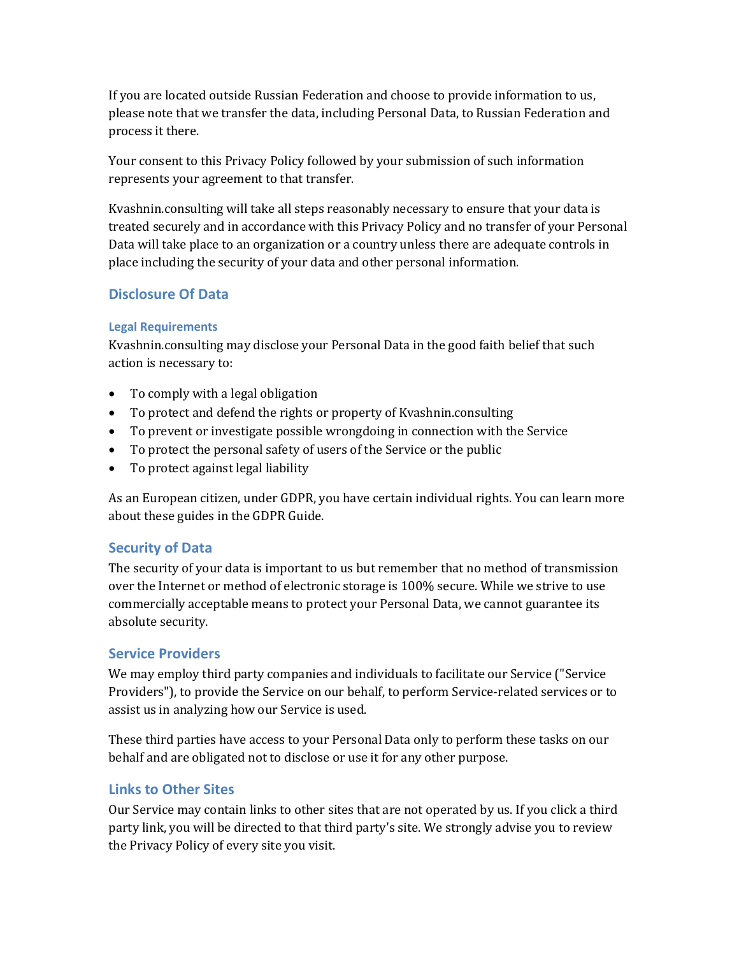If you are located outside Russian Federation and choose to provide information to us, please note that we transfer the data, including Personal Data, to Russian Federation and process it there.

Your consent to this Privacy Policy followed by your submission of such information represents your agreement to that transfer.

Kvashnin.consulting will take all steps reasonably necessary to ensure that your data is treated securely and in accordance with this Privacy Policy and no transfer of your Personal Data will take place to an organization or a country unless there are adequate controls in place including the security of your data and other personal information.

# **Disclosure Of Data**

### **Legal Requirements**

Kvashnin.consulting may disclose your Personal Data in the good faith belief that such action is necessary to:

- To comply with a legal obligation
- To protect and defend the rights or property of Kvashnin.consulting
- To prevent or investigate possible wrongdoing in connection with the Service
- To protect the personal safety of users of the Service or the public
- To protect against legal liability

As an European citizen, under GDPR, you have certain individual rights. You can learn more about these guides in th[e GDPR Guide.](https://termsfeed.com/blog/gdpr/#Individual_Rights_Under_the_GDPR)

## **Security of Data**

The security of your data is important to us but remember that no method of transmission over the Internet or method of electronic storage is 100% secure. While we strive to use commercially acceptable means to protect your Personal Data, we cannot guarantee its absolute security.

## **Service Providers**

We may employ third party companies and individuals to facilitate our Service ("Service Providers"), to provide the Service on our behalf, to perform Service-related services or to assist us in analyzing how our Service is used.

These third parties have access to your Personal Data only to perform these tasks on our behalf and are obligated not to disclose or use it for any other purpose.

## **Links to Other Sites**

Our Service may contain links to other sites that are not operated by us. If you click a third party link, you will be directed to that third party's site. We strongly advise you to review the Privacy Policy of every site you visit.